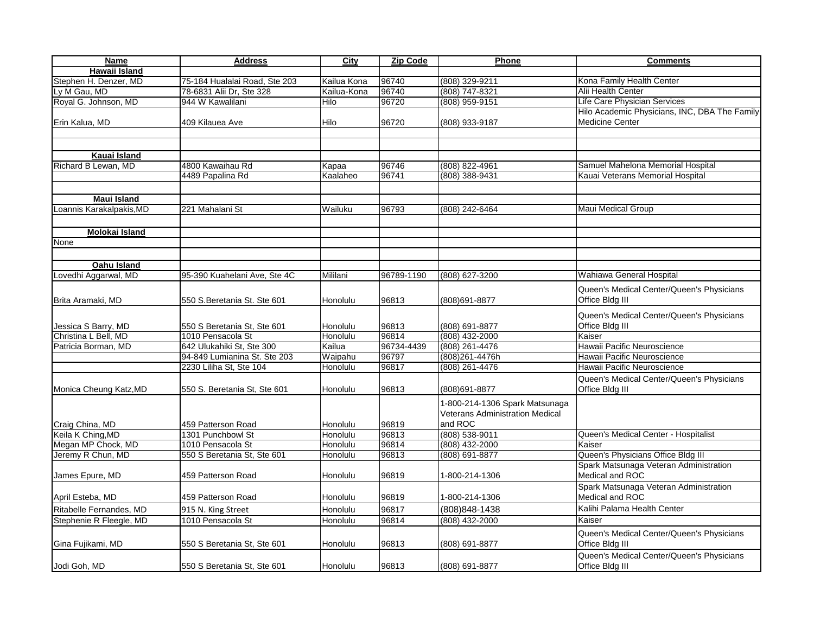| <b>Name</b>                             | <b>Address</b>                                   | City                 | <b>Zip Code</b> | Phone                                  | <b>Comments</b>                                           |
|-----------------------------------------|--------------------------------------------------|----------------------|-----------------|----------------------------------------|-----------------------------------------------------------|
| Hawaii Island                           |                                                  |                      |                 |                                        |                                                           |
| Stephen H. Denzer, MD                   | 75-184 Hualalai Road, Ste 203                    | Kailua Kona          | 96740           | (808) 329-9211                         | Kona Family Health Center                                 |
| Ly M Gau, MD                            | 78-6831 Alii Dr, Ste 328                         | Kailua-Kona          | 96740           | (808) 747-8321                         | Alii Health Center                                        |
| Royal G. Johnson, MD                    | 944 W Kawalilani                                 | Hilo                 | 96720           | $(808)$ 959-9151                       | Life Care Physician Services                              |
|                                         |                                                  |                      |                 |                                        | Hilo Academic Physicians, INC, DBA The Family             |
| Erin Kalua, MD                          | 409 Kilauea Ave                                  | Hilo                 | 96720           | (808) 933-9187                         | <b>Medicine Center</b>                                    |
|                                         |                                                  |                      |                 |                                        |                                                           |
|                                         |                                                  |                      |                 |                                        |                                                           |
| Kauai Island                            |                                                  |                      |                 |                                        |                                                           |
| Richard B Lewan, MD                     | 4800 Kawaihau Rd                                 | Kapaa                | 96746           | $(808) 822 - 4961$                     | Samuel Mahelona Memorial Hospital                         |
|                                         | 4489 Papalina Rd                                 | Kaalaheo             | 96741           | $(808)$ 388-9431                       | Kauai Veterans Memorial Hospital                          |
|                                         |                                                  |                      |                 |                                        |                                                           |
| <b>Maui Island</b>                      |                                                  |                      |                 |                                        |                                                           |
| Loannis Karakalpakis, MD                | 221 Mahalani St                                  | Wailuku              | 96793           | (808) 242-6464                         | Maui Medical Group                                        |
|                                         |                                                  |                      |                 |                                        |                                                           |
| Molokai Island                          |                                                  |                      |                 |                                        |                                                           |
| None                                    |                                                  |                      |                 |                                        |                                                           |
|                                         |                                                  |                      |                 |                                        |                                                           |
|                                         |                                                  |                      |                 |                                        |                                                           |
| Oahu Island                             |                                                  |                      |                 |                                        | Wahiawa General Hospital                                  |
| Lovedhi Aggarwal, MD                    | 95-390 Kuahelani Ave, Ste 4C                     | Mililani             | 96789-1190      | (808) 627-3200                         |                                                           |
|                                         |                                                  |                      |                 |                                        | Queen's Medical Center/Queen's Physicians                 |
| Brita Aramaki, MD                       | 550 S.Beretania St. Ste 601                      | Honolulu             | 96813           | (808)691-8877                          | Office Bldg III                                           |
|                                         |                                                  |                      |                 |                                        | Queen's Medical Center/Queen's Physicians                 |
| Jessica S Barry, MD                     | 550 S Beretania St, Ste 601                      | Honolulu             | 96813           | (808) 691-8877                         | Office Bldg III                                           |
| Christina L Bell, MD                    | 1010 Pensacola St                                | Honolulu             | 96814           | $(808)$ 432-2000                       | Kaiser                                                    |
| Patricia Borman, MD                     | 642 Ulukahiki St. Ste 300                        | Kailua               | 96734-4439      | (808) 261-4476                         | Hawaii Pacific Neuroscience                               |
|                                         | 94-849 Lumianina St. Ste 203                     | Waipahu              | 96797           | (808)261-4476h                         | Hawaii Pacific Neuroscience                               |
|                                         | 2230 Liliha St, Ste 104                          | Honolulu             | 96817           | $(808)$ 261-4476                       | Hawaii Pacific Neuroscience                               |
|                                         |                                                  |                      |                 |                                        | Queen's Medical Center/Queen's Physicians                 |
| Monica Cheung Katz, MD                  | 550 S. Beretania St, Ste 601                     | Honolulu             | 96813           | (808)691-8877                          | Office Bldg III                                           |
|                                         |                                                  |                      |                 |                                        |                                                           |
|                                         |                                                  |                      |                 | 1-800-214-1306 Spark Matsunaga         |                                                           |
|                                         |                                                  |                      |                 | <b>Veterans Administration Medical</b> |                                                           |
| Craig China, MD                         | 459 Patterson Road                               | Honolulu             | 96819           | and ROC                                |                                                           |
| Keila K Ching, MD<br>Megan MP Chock, MD | 1301 Punchbowl St                                | Honolulu             | 96813           | $(808) 538 - 9011$                     | Queen's Medical Center - Hospitalist<br>Kaiser            |
|                                         | 1010 Pensacola St<br>550 S Beretania St, Ste 601 | Honolulu<br>Honolulu | 96814<br>96813  | $(808)$ 432-2000<br>$(808) 691 - 8877$ | Queen's Physicians Office Bldg III                        |
| Jeremy R Chun, MD                       |                                                  |                      |                 |                                        |                                                           |
|                                         |                                                  |                      |                 |                                        | Spark Matsunaga Veteran Administration<br>Medical and ROC |
| James Epure, MD                         | 459 Patterson Road                               | Honolulu             | 96819           | 1-800-214-1306                         |                                                           |
|                                         |                                                  |                      |                 |                                        | Spark Matsunaga Veteran Administration                    |
| April Esteba, MD                        | 459 Patterson Road                               | Honolulu             | 96819           | 1-800-214-1306                         | Medical and ROC                                           |
| Ritabelle Fernandes, MD                 | 915 N. King Street                               | Honolulu             | 96817           | (808) 848-1438                         | Kalihi Palama Health Center                               |
| Stephenie R Fleegle, MD                 | 1010 Pensacola St                                | Honolulu             | 96814           | $(808)$ 432-2000                       | Kaiser                                                    |
|                                         |                                                  |                      |                 |                                        | Queen's Medical Center/Queen's Physicians                 |
| Gina Fujikami, MD                       | 550 S Beretania St, Ste 601                      | Honolulu             | 96813           | (808) 691-8877                         | Office Bldg III                                           |
|                                         |                                                  |                      |                 |                                        | Queen's Medical Center/Queen's Physicians                 |
| Jodi Goh, MD                            | 550 S Beretania St, Ste 601                      | Honolulu             | 96813           | (808) 691-8877                         | Office Bldg III                                           |